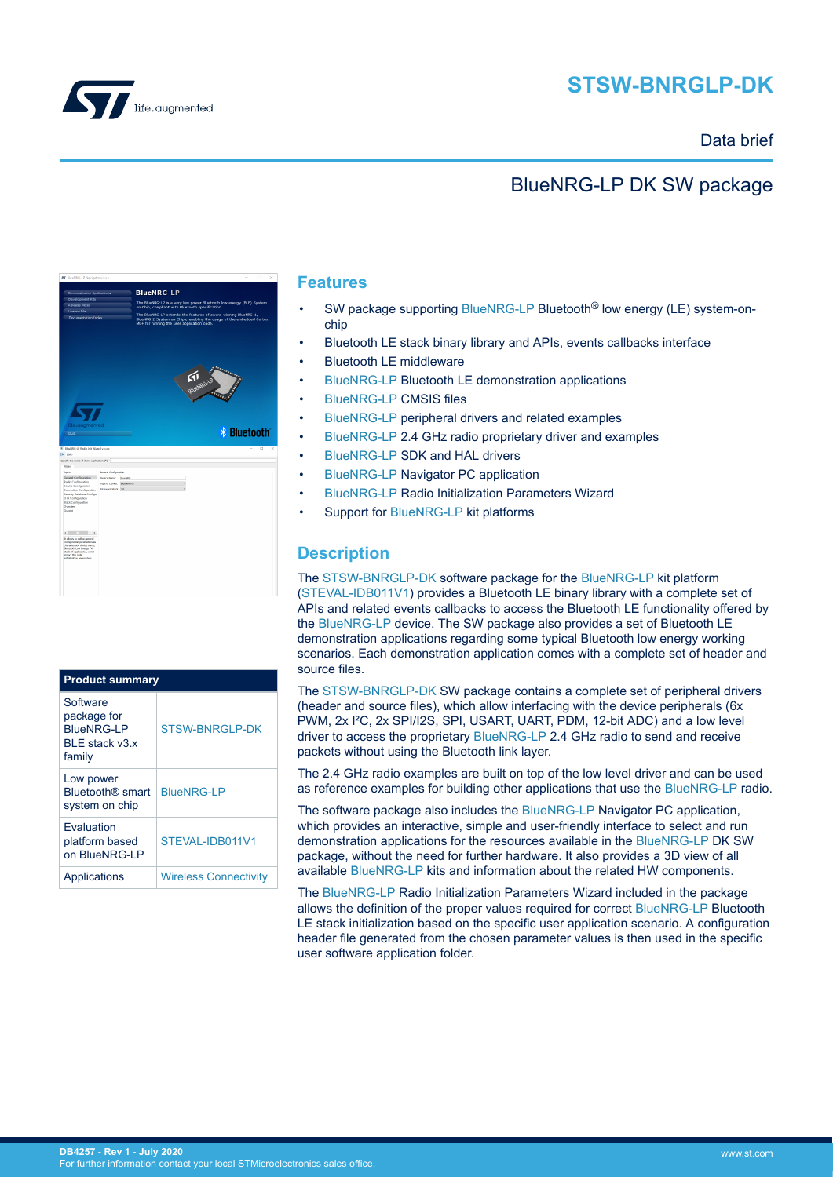



### Data brief

## BlueNRG-LP DK SW package



| <b>Product summary</b>                                                   |                              |  |
|--------------------------------------------------------------------------|------------------------------|--|
| Software<br>package for<br><b>BlueNRG-LP</b><br>BLE stack v3 x<br>family | <b>STSW-BNRGLP-DK</b>        |  |
| Low power<br>Bluetooth <sup>®</sup> smart<br>system on chip              | <b>BlueNRG-LP</b>            |  |
| Evaluation<br>platform based<br>on BlueNRG-LP                            | STEVAI-IDB011V1              |  |
| Applications                                                             | <b>Wireless Connectivity</b> |  |

### **Features**

- SW package supporting [BlueNRG-LP](https://www.st.com/en/product/BlueNRG-LP?ecmp=tt9470_gl_link_feb2019&rt=db&id=DB4257) Bluetooth<sup>®</sup> low energy (LE) system-onchip
- Bluetooth LE stack binary library and APIs, events callbacks interface
- Bluetooth LE middleware
- [BlueNRG-LP](https://www.st.com/en/product/BlueNRG-LP?ecmp=tt9470_gl_link_feb2019&rt=db&id=DB4257) Bluetooth LE demonstration applications
- **[BlueNRG-LP](https://www.st.com/en/product/BlueNRG-LP?ecmp=tt9470_gl_link_feb2019&rt=db&id=DB4257) CMSIS files**
- [BlueNRG-LP](https://www.st.com/en/product/BlueNRG-LP?ecmp=tt9470_gl_link_feb2019&rt=db&id=DB4257) peripheral drivers and related examples
- [BlueNRG-LP](https://www.st.com/en/product/BlueNRG-LP?ecmp=tt9470_gl_link_feb2019&rt=db&id=DB4257) 2.4 GHz radio proprietary driver and examples
- [BlueNRG-LP](https://www.st.com/en/product/BlueNRG-LP?ecmp=tt9470_gl_link_feb2019&rt=db&id=DB4257) SDK and HAL drivers
- [BlueNRG-LP](https://www.st.com/en/product/BlueNRG-LP?ecmp=tt9470_gl_link_feb2019&rt=db&id=DB4257) Navigator PC application
- [BlueNRG-LP](https://www.st.com/en/product/BlueNRG-LP?ecmp=tt9470_gl_link_feb2019&rt=db&id=DB4257) Radio Initialization Parameters Wizard
- Support for [BlueNRG-LP](https://www.st.com/en/product/BlueNRG-LP?ecmp=tt9470_gl_link_feb2019&rt=db&id=DB4257) kit platforms

## **Description**

The [STSW-BNRGLP-DK](https://www.st.com/en/product/stsw-bnrglp-dk?ecmp=tt9470_gl_link_feb2019&rt=db&id=DB4257) software package for the [BlueNRG-LP](https://www.st.com/en/product/BlueNRG-LP?ecmp=tt9470_gl_link_feb2019&rt=db&id=DB4257) kit platform ([STEVAL-IDB011V1\)](https://www.st.com/en/product/steval-idb011v1?ecmp=tt9470_gl_link_feb2019&rt=db&id=DB4257) provides a Bluetooth LE binary library with a complete set of APIs and related events callbacks to access the Bluetooth LE functionality offered by the [BlueNRG-LP](https://www.st.com/en/product/BlueNRG-LP?ecmp=tt9470_gl_link_feb2019&rt=db&id=DB4257) device. The SW package also provides a set of Bluetooth LE demonstration applications regarding some typical Bluetooth low energy working scenarios. Each demonstration application comes with a complete set of header and source files.

The [STSW-BNRGLP-DK](https://www.st.com/en/product/stsw-bnrglp-dk?ecmp=tt9470_gl_link_feb2019&rt=db&id=DB4257) SW package contains a complete set of peripheral drivers (header and source files), which allow interfacing with the device peripherals (6x PWM, 2x I²C, 2x SPI/I2S, SPI, USART, UART, PDM, 12-bit ADC) and a low level driver to access the proprietary [BlueNRG-LP](https://www.st.com/en/product/BlueNRG-LP?ecmp=tt9470_gl_link_feb2019&rt=db&id=DB4257) 2.4 GHz radio to send and receive packets without using the Bluetooth link layer.

The 2.4 GHz radio examples are built on top of the low level driver and can be used as reference examples for building other applications that use the [BlueNRG-LP](https://www.st.com/en/product/BlueNRG-LP?ecmp=tt9470_gl_link_feb2019&rt=db&id=DB4257) radio.

The software package also includes the [BlueNRG-LP](https://www.st.com/en/product/BlueNRG-LP?ecmp=tt9470_gl_link_feb2019&rt=db&id=DB4257) Navigator PC application, which provides an interactive, simple and user-friendly interface to select and run demonstration applications for the resources available in the [BlueNRG-LP](https://www.st.com/en/product/BlueNRG-LP?ecmp=tt9470_gl_link_feb2019&rt=db&id=DB4257) DK SW package, without the need for further hardware. It also provides a 3D view of all available [BlueNRG-LP](https://www.st.com/en/product/BlueNRG-LP?ecmp=tt9470_gl_link_feb2019&rt=db&id=DB4257) kits and information about the related HW components.

The [BlueNRG-LP](https://www.st.com/en/product/BlueNRG-LP?ecmp=tt9470_gl_link_feb2019&rt=db&id=DB4257) Radio Initialization Parameters Wizard included in the package allows the definition of the proper values required for correct [BlueNRG-LP](https://www.st.com/en/product/BlueNRG-LP?ecmp=tt9470_gl_link_feb2019&rt=db&id=DB4257) Bluetooth LE stack initialization based on the specific user application scenario. A configuration header file generated from the chosen parameter values is then used in the specific user software application folder.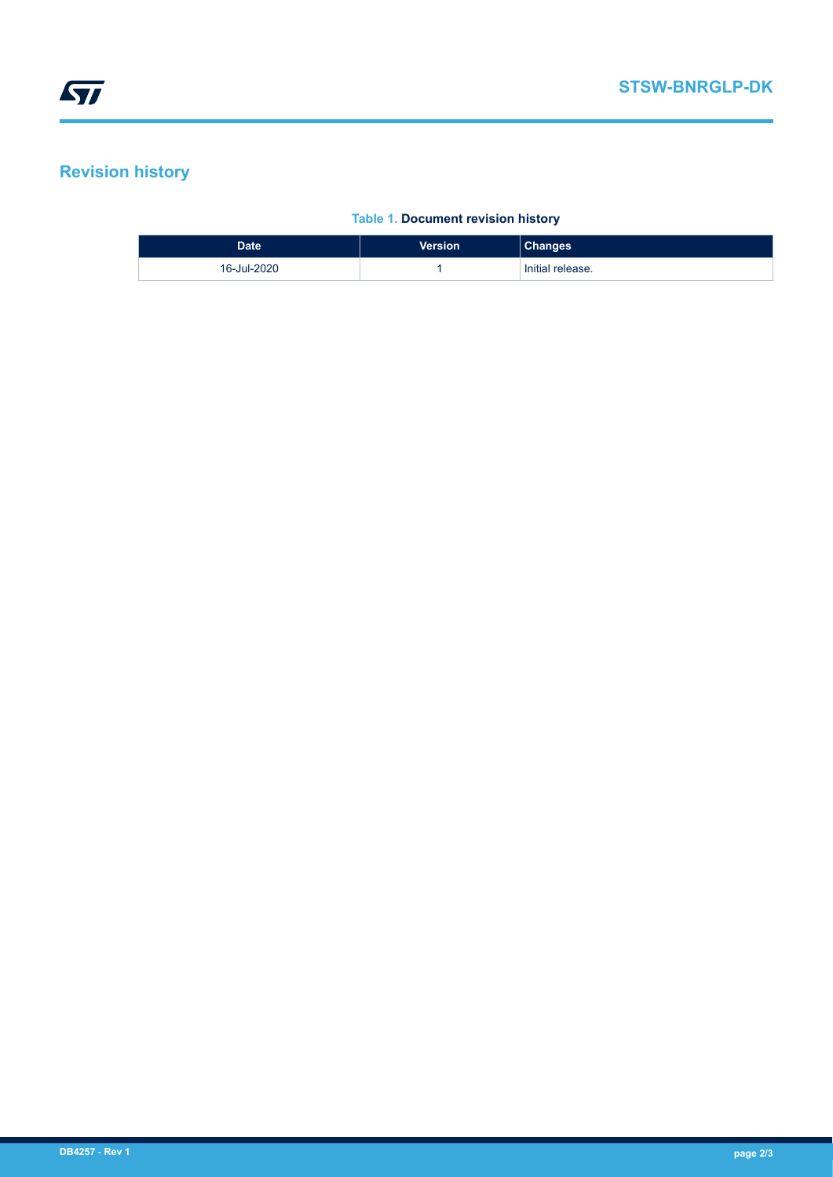# **Revision history**

#### **Table 1. Document revision history**

| <b>Date</b> | <b>Version</b> | <b>Changes</b>   |
|-------------|----------------|------------------|
| 16-Jul-2020 |                | Initial release. |